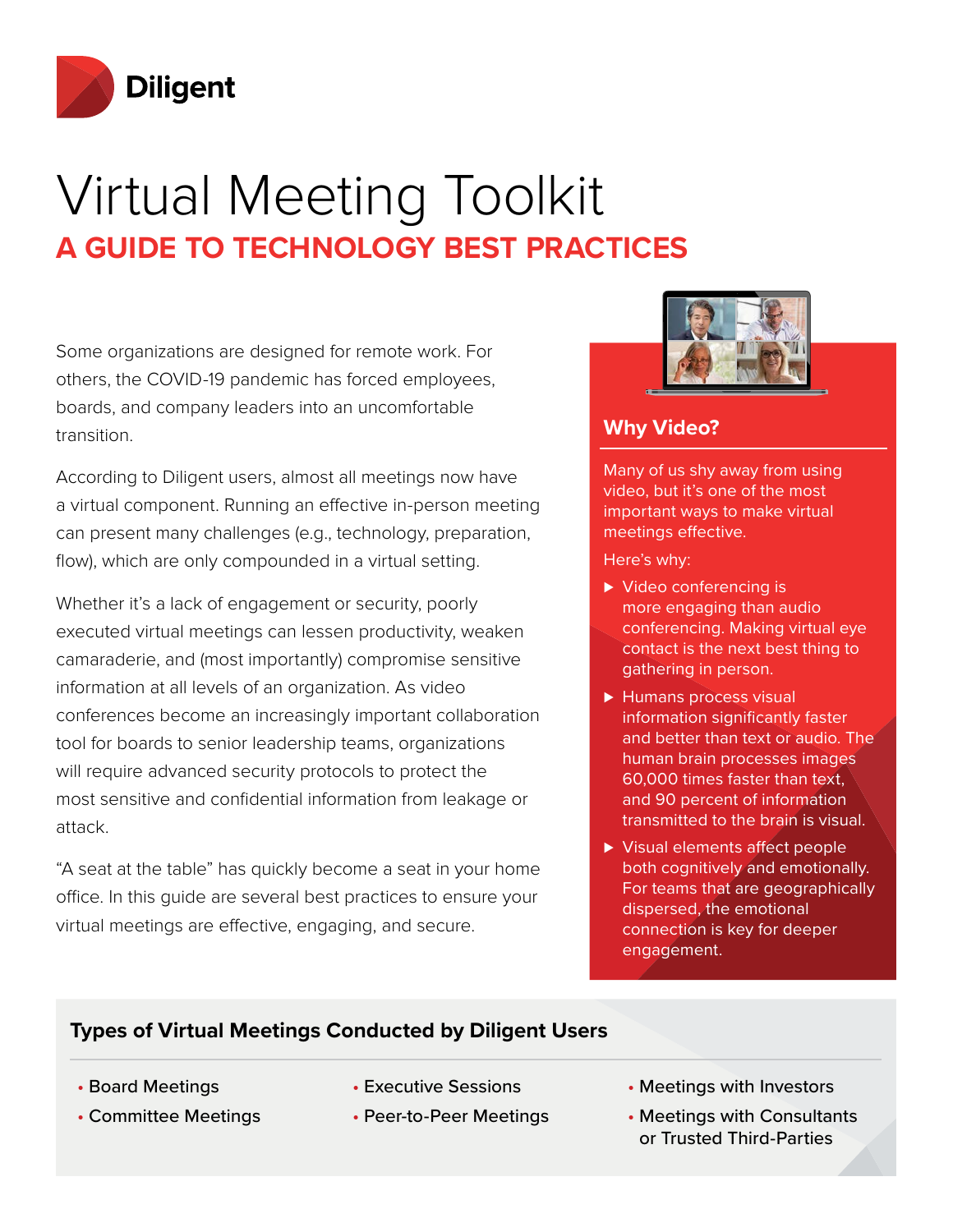

# Virtual Meeting Toolkit **A GUIDE TO TECHNOLOGY BEST PRACTICES**

Some organizations are designed for remote work. For others, the COVID-19 pandemic has forced employees, boards, and company leaders into an uncomfortable transition.

According to Diligent users, almost all meetings now have a virtual component. Running an effective in-person meeting can present many challenges (e.g., technology, preparation, flow), which are only compounded in a virtual setting.

Whether it's a lack of engagement or security, poorly executed virtual meetings can lessen productivity, weaken camaraderie, and (most importantly) compromise sensitive information at all levels of an organization. As video conferences become an increasingly important collaboration tool for boards to senior leadership teams, organizations will require advanced security protocols to protect the most sensitive and confidential information from leakage or attack.

"A seat at the table" has quickly become a seat in your home office. In this guide are several best practices to ensure your virtual meetings are effective, engaging, and secure.



### **Why Video?**

Many of us shy away from using video, but it's one of the most important ways to make virtual meetings effective.

Here's why:

- ▶ Video conferencing is more engaging than audio conferencing. Making virtual eye contact is the next best thing to gathering in person.
- ► Humans process visual information significantly faster and better than text or audio. The human brain processes images 60,000 times faster than text, and 90 percent of information transmitted to the brain is visual.
- ▶ Visual elements affect people both cognitively and emotionally. For teams that are geographically dispersed, the emotional connection is key for deeper engagement.

### **Types of Virtual Meetings Conducted by Diligent Users**

- Board Meetings
- Committee Meetings
- Executive Sessions
- Peer-to-Peer Meetings
- Meetings with Investors
- Meetings with Consultants or Trusted Third-Parties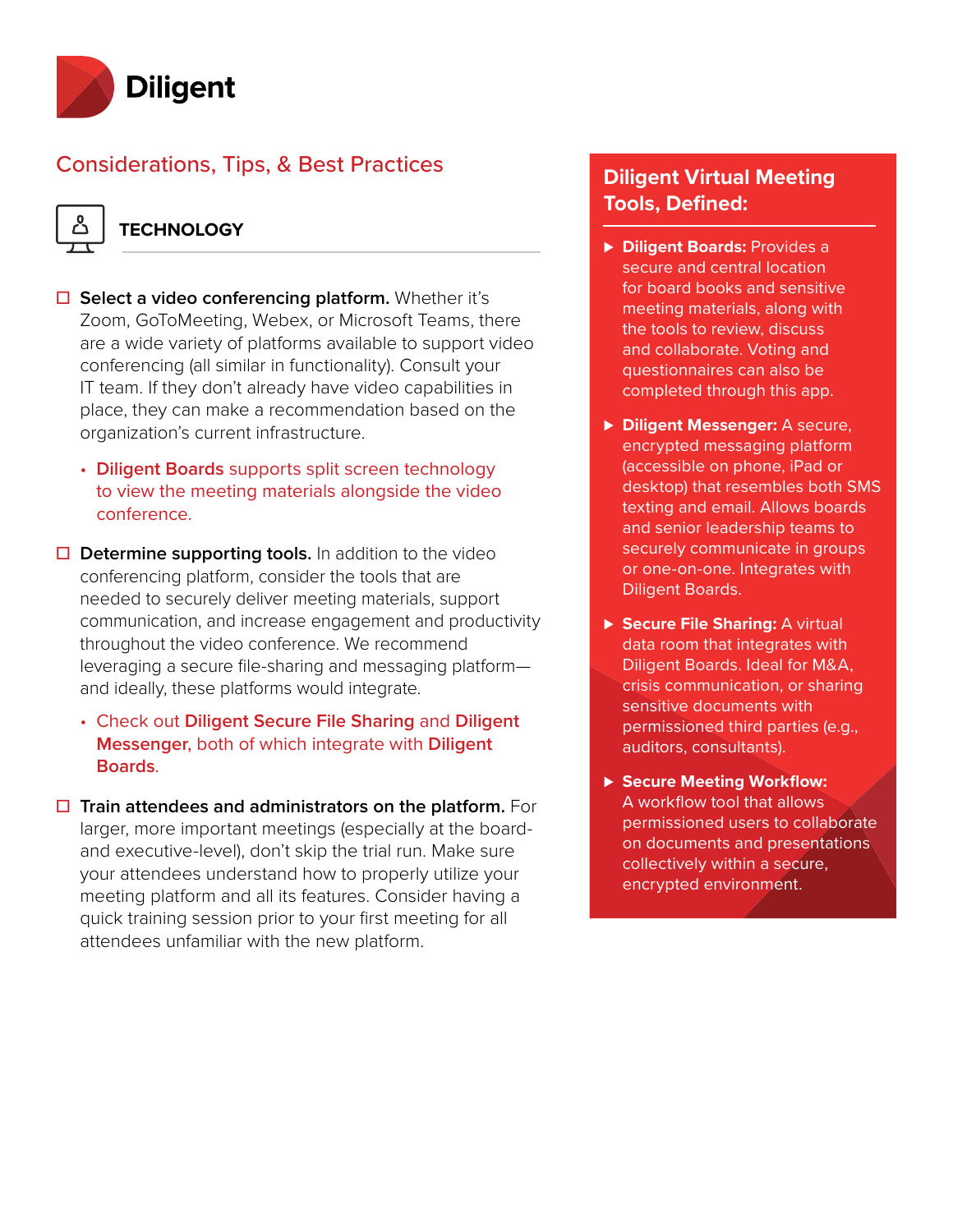

### Considerations, Tips, & Best Practices

### **TECHNOLOGY**

- **☐ Select a video conferencing platform.** Whether it's Zoom, GoToMeeting, Webex, or Microsoft Teams, there are a wide variety of platforms available to support video conferencing (all similar in functionality). Consult your IT team. If they don't already have video capabilities in place, they can make a recommendation based on the organization's current infrastructure.
	- **Diligent Boards** supports split screen technology to view the meeting materials alongside the video conference.
- **☐ Determine supporting tools.** In addition to the video conferencing platform, consider the tools that are needed to securely deliver meeting materials, support communication, and increase engagement and productivity throughout the video conference. We recommend leveraging a secure file-sharing and messaging platform and ideally, these platforms would integrate.
	- **☐** Check out **Diligent Secure File Sharing** and **Diligent Messenger**, both of which integrate with **Diligent Boards**.
- **☐ Train attendees and administrators on the platform.** For larger, more important meetings (especially at the boardand executive-level), don't skip the trial run. Make sure your attendees understand how to properly utilize your meeting platform and all its features. Consider having a quick training session prior to your first meeting for all attendees unfamiliar with the new platform.

### **Diligent Virtual Meeting Tools, Defined:**

- **⊲ Diligent Boards:** Provides a secure and central location for board books and sensitive meeting materials, along with the tools to review, discuss and collaborate. Voting and questionnaires can also be completed through this app.
- **⊲ Diligent Messenger:** A secure, encrypted messaging platform (accessible on phone, iPad or desktop) that resembles both SMS texting and email. Allows boards and senior leadership teams to securely communicate in groups or one-on-one. Integrates with Diligent Boards.
- ▶ Secure File Sharing: A virtual data room that integrates with Diligent Boards. Ideal for M&A, crisis communication, or sharing sensitive documents with permissioned third parties (e.g., auditors, consultants).
- **⊲ Secure Meeting Workflow:**  A workflow tool that allows permissioned users to collaborate on documents and presentations collectively within a secure, encrypted environment.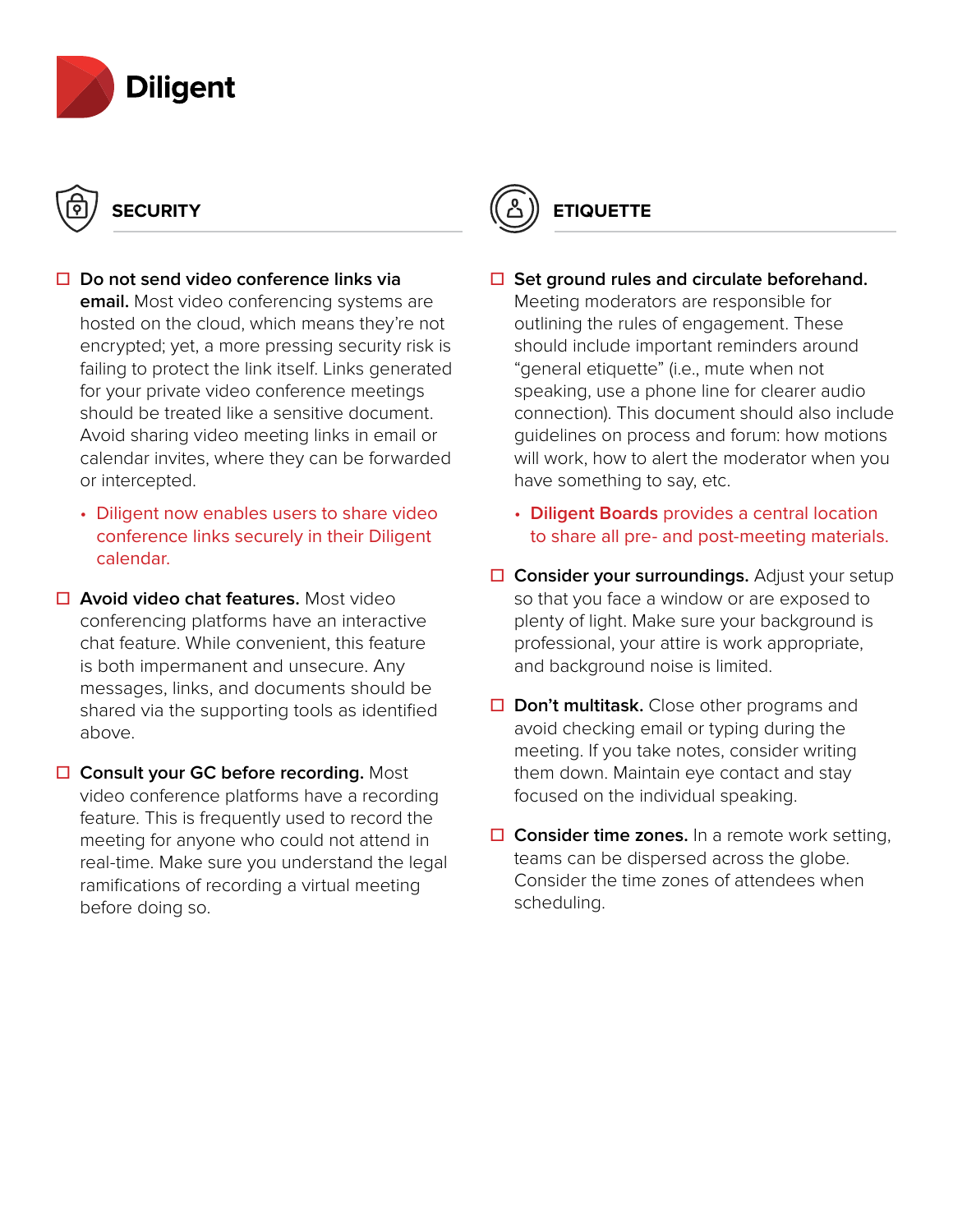

# **SECURITY**

- **☐ Do not send video conference links via email.** Most video conferencing systems are hosted on the cloud, which means they're not encrypted; yet, a more pressing security risk is failing to protect the link itself. Links generated for your private video conference meetings should be treated like a sensitive document. Avoid sharing video meeting links in email or calendar invites, where they can be forwarded or intercepted.
	- **☐** Diligent now enables users to share video conference links securely in their Diligent calendar.
- **☐ Avoid video chat features.** Most video conferencing platforms have an interactive chat feature. While convenient, this feature is both impermanent and unsecure. Any messages, links, and documents should be shared via the supporting tools as identified above.
- **☐ Consult your GC before recording.** Most video conference platforms have a recording feature. This is frequently used to record the meeting for anyone who could not attend in real-time. Make sure you understand the legal ramifications of recording a virtual meeting before doing so.



### **☐ Set ground rules and circulate beforehand.** Meeting moderators are responsible for outlining the rules of engagement. These should include important reminders around "general etiquette" (i.e., mute when not speaking, use a phone line for clearer audio connection). This document should also include guidelines on process and forum: how motions will work, how to alert the moderator when you have something to say, etc.

- **☐ Diligent Boards** provides a central location to share all pre- and post-meeting materials.
- **☐ Consider your surroundings.** Adjust your setup so that you face a window or are exposed to plenty of light. Make sure your background is professional, your attire is work appropriate, and background noise is limited.
- **☐ Don't multitask.** Close other programs and avoid checking email or typing during the meeting. If you take notes, consider writing them down. Maintain eye contact and stay focused on the individual speaking.
- **☐ Consider time zones.** In a remote work setting, teams can be dispersed across the globe. Consider the time zones of attendees when scheduling.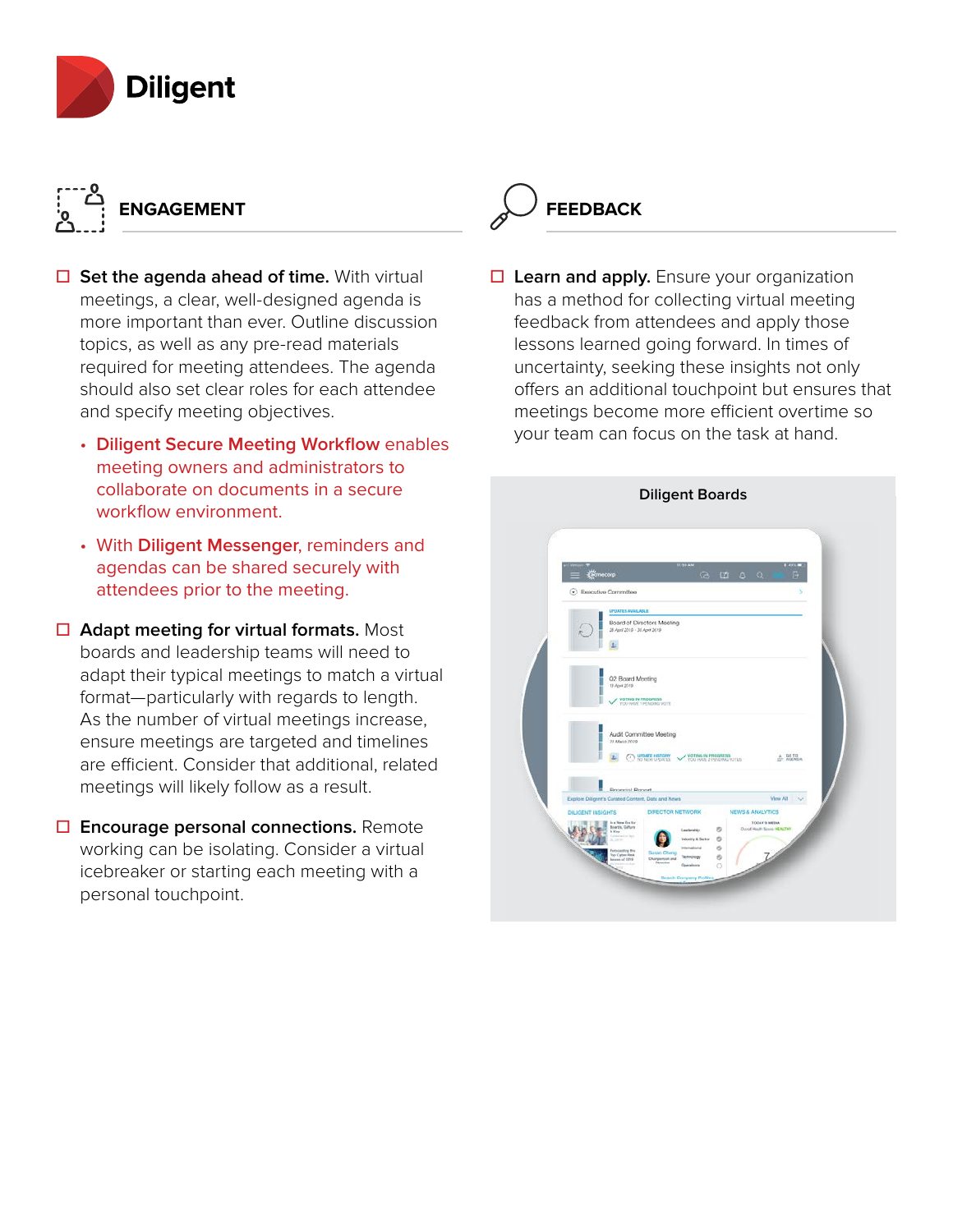

# **ENGAGEMENT**

- **□** Set the agenda ahead of time. With virtual meetings, a clear, well-designed agenda is more important than ever. Outline discussion topics, as well as any pre-read materials required for meeting attendees. The agenda should also set clear roles for each attendee and specify meeting objectives.
	- **☐ Diligent Secure Meeting Workflow** enables meeting owners and administrators to collaborate on documents in a secure workflow environment.
	- **☐** With **Diligent Messenger**, reminders and agendas can be shared securely with attendees prior to the meeting.
- **☐ Adapt meeting for virtual formats.** Most boards and leadership teams will need to adapt their typical meetings to match a virtual format—particularly with regards to length. As the number of virtual meetings increase, ensure meetings are targeted and timelines are efficient. Consider that additional, related meetings will likely follow as a result.
- **☐ Encourage personal connections.** Remote working can be isolating. Consider a virtual icebreaker or starting each meeting with a personal touchpoint.



**☐ Learn and apply.** Ensure your organization has a method for collecting virtual meeting feedback from attendees and apply those lessons learned going forward. In times of uncertainty, seeking these insights not only offers an additional touchpoint but ensures that meetings become more efficient overtime so your team can focus on the task at hand.

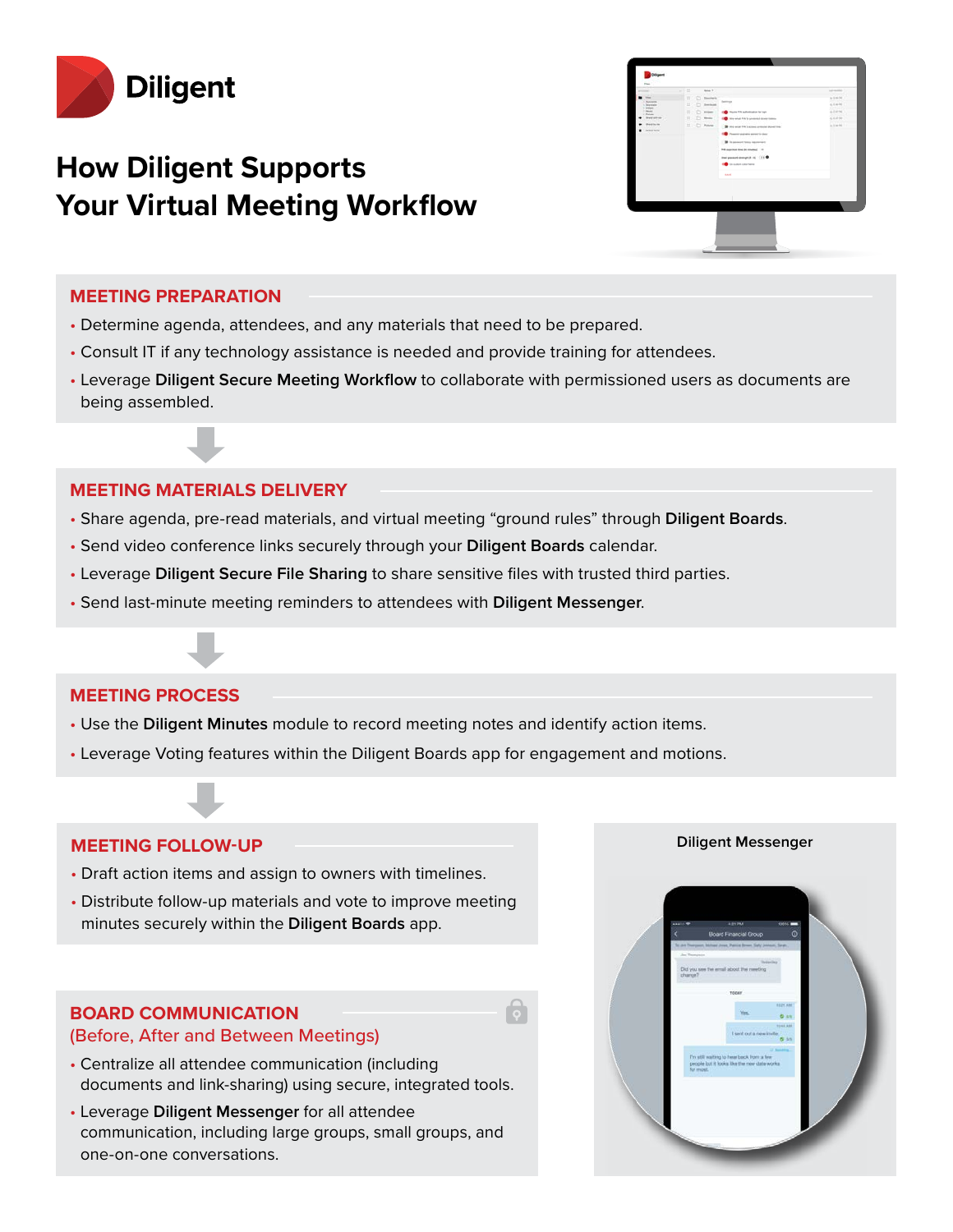

## **How Diligent Supports Your Virtual Meeting Workflow**



#### **MEETING PREPARATION**

- Determine agenda, attendees, and any materials that need to be prepared.
- Consult IT if any technology assistance is needed and provide training for attendees.
- Leverage **Diligent Secure Meeting Workflow** to collaborate with permissioned users as documents are being assembled.

### **MEETING MATERIALS DELIVERY**

- Share agenda, pre-read materials, and virtual meeting "ground rules" through **Diligent Boards**.
- Send video conference links securely through your **Diligent Boards** calendar.
- Leverage **Diligent Secure File Sharing** to share sensitive files with trusted third parties.
- Send last-minute meeting reminders to attendees with **Diligent Messenger**.

### **MEETING PROCESS**

- Use the **Diligent Minutes** module to record meeting notes and identify action items.
- Leverage Voting features within the Diligent Boards app for engagement and motions.

### **MEETING FOLLOW-UP**

- Draft action items and assign to owners with timelines.
- Distribute follow-up materials and vote to improve meeting minutes securely within the **Diligent Boards** app.

### **BOARD COMMUNICATION**

### (Before, After and Between Meetings)

- Centralize all attendee communication (including documents and link-sharing) using secure, integrated tools.
- Leverage **Diligent Messenger** for all attendee communication, including large groups, small groups, and one-on-one conversations.